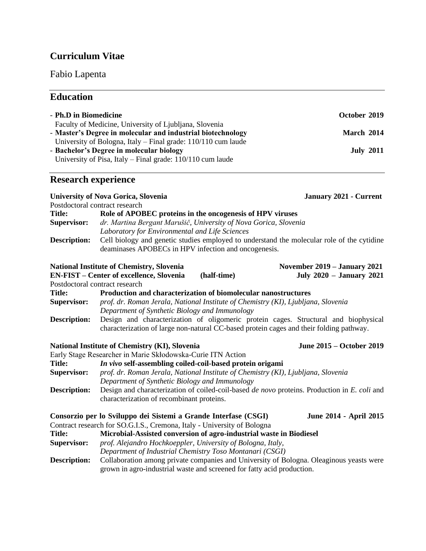# **Curriculum Vitae**

# Fabio Lapenta

# **Education**

| - Ph.D in Biomedicine                                                                                             |                                                                                              | October 2019                    |  |
|-------------------------------------------------------------------------------------------------------------------|----------------------------------------------------------------------------------------------|---------------------------------|--|
|                                                                                                                   | Faculty of Medicine, University of Ljubljana, Slovenia                                       |                                 |  |
|                                                                                                                   | - Master's Degree in molecular and industrial biotechnology                                  | March 2014                      |  |
|                                                                                                                   | University of Bologna, Italy - Final grade: 110/110 cum laude                                |                                 |  |
|                                                                                                                   | - Bachelor's Degree in molecular biology                                                     | <b>July 2011</b>                |  |
|                                                                                                                   | University of Pisa, Italy – Final grade: $110/110$ cum laude                                 |                                 |  |
| <b>Research experience</b>                                                                                        |                                                                                              |                                 |  |
| <b>University of Nova Gorica, Slovenia</b>                                                                        |                                                                                              | January 2021 - Current          |  |
|                                                                                                                   | Postdoctoral contract research                                                               |                                 |  |
| <b>Title:</b>                                                                                                     | Role of APOBEC proteins in the oncogenesis of HPV viruses                                    |                                 |  |
| <b>Supervisor:</b>                                                                                                | dr. Martina Bergant Marušič, University of Nova Gorica, Slovenia                             |                                 |  |
|                                                                                                                   | Laboratory for Environmental and Life Sciences                                               |                                 |  |
| Cell biology and genetic studies employed to understand the molecular role of the cytidine<br><b>Description:</b> |                                                                                              |                                 |  |
|                                                                                                                   | deaminases APOBECs in HPV infection and oncogenesis.                                         |                                 |  |
|                                                                                                                   | <b>National Institute of Chemistry, Slovenia</b>                                             | November 2019 - January 2021    |  |
|                                                                                                                   | <b>EN-FIST – Center of excellence, Slovenia</b><br>(half-time)                               | <b>July 2020 - January 2021</b> |  |
|                                                                                                                   | Postdoctoral contract research                                                               |                                 |  |
| <b>Title:</b>                                                                                                     | Production and characterization of biomolecular nanostructures                               |                                 |  |
| <b>Supervisor:</b>                                                                                                | prof. dr. Roman Jerala, National Institute of Chemistry (KI), Ljubljana, Slovenia            |                                 |  |
|                                                                                                                   | Department of Synthetic Biology and Immunology                                               |                                 |  |
| Design and characterization of oligomeric protein cages. Structural and biophysical<br><b>Description:</b>        |                                                                                              |                                 |  |
|                                                                                                                   | characterization of large non-natural CC-based protein cages and their folding pathway.      |                                 |  |
|                                                                                                                   | <b>National Institute of Chemistry (KI), Slovenia</b>                                        | June 2015 - October 2019        |  |
|                                                                                                                   | Early Stage Researcher in Marie Skłodowska-Curie ITN Action                                  |                                 |  |
| <b>Title:</b>                                                                                                     | In vivo self-assembling coiled-coil-based protein origami                                    |                                 |  |
| <b>Supervisor:</b>                                                                                                | prof. dr. Roman Jerala, National Institute of Chemistry (KI), Ljubljana, Slovenia            |                                 |  |
|                                                                                                                   | Department of Synthetic Biology and Immunology                                               |                                 |  |
| <b>Description:</b>                                                                                               | Design and characterization of coiled-coil-based de novo proteins. Production in E. coli and |                                 |  |
|                                                                                                                   | characterization of recombinant proteins.                                                    |                                 |  |

|                     | Consorzio per lo Sviluppo dei Sistemi a Grande Interfase (CSGI)                                                                                                   | <b>June 2014 - April 2015</b> |  |
|---------------------|-------------------------------------------------------------------------------------------------------------------------------------------------------------------|-------------------------------|--|
|                     | Contract research for SO.G.I.S., Cremona, Italy - University of Bologna                                                                                           |                               |  |
| <b>Title:</b>       | Microbial-Assisted conversion of agro-industrial waste in Biodiesel                                                                                               |                               |  |
| <b>Supervisor:</b>  | prof. Alejandro Hochkoeppler, University of Bologna, Italy,                                                                                                       |                               |  |
|                     | Department of Industrial Chemistry Toso Montanari (CSGI)                                                                                                          |                               |  |
| <b>Description:</b> | Collaboration among private companies and University of Bologna. Oleaginous yeasts were<br>grown in agro-industrial waste and screened for fatty acid production. |                               |  |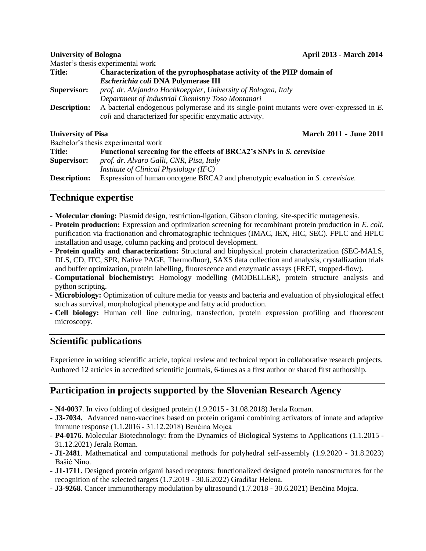|                           | Master's thesis experimental work                                                                                                                          |                               |  |
|---------------------------|------------------------------------------------------------------------------------------------------------------------------------------------------------|-------------------------------|--|
| <b>Title:</b>             | Characterization of the pyrophosphatase activity of the PHP domain of                                                                                      |                               |  |
|                           | <b>Escherichia coli DNA Polymerase III</b>                                                                                                                 |                               |  |
| <b>Supervisor:</b>        | prof. dr. Alejandro Hochkoeppler, University of Bologna, Italy                                                                                             |                               |  |
|                           | Department of Industrial Chemistry Toso Montanari                                                                                                          |                               |  |
| <b>Description:</b>       | A bacterial endogenous polymerase and its single-point mutants were over-expressed in E.<br><i>coli</i> and characterized for specific enzymatic activity. |                               |  |
| <b>University of Pisa</b> |                                                                                                                                                            | <b>March 2011 - June 2011</b> |  |
|                           | Bachelor's thesis experimental work                                                                                                                        |                               |  |
| <b>Title:</b>             | Functional screening for the effects of BRCA2's SNPs in S. cerevisiae                                                                                      |                               |  |
| <b>Supervisor:</b>        | prof. dr. Alvaro Galli, CNR, Pisa, Italy                                                                                                                   |                               |  |
|                           | <i>Institute of Clinical Physiology (IFC)</i>                                                                                                              |                               |  |
|                           |                                                                                                                                                            |                               |  |

**Description:** Expression of human oncogene BRCA2 and phenotypic evaluation in *S. cerevisiae.*

## **Technique expertise**

- **Molecular cloning:** Plasmid design, restriction-ligation, Gibson cloning, site-specific mutagenesis.
- **Protein production:** Expression and optimization screening for recombinant protein production in *E. coli*, purification via fractionation and chromatographic techniques (IMAC, IEX, HIC, SEC). FPLC and HPLC installation and usage, column packing and protocol development.
- **Protein quality and characterization:** Structural and biophysical protein characterization (SEC-MALS, DLS, CD, ITC, SPR, Native PAGE, Thermofluor), SAXS data collection and analysis, crystallization trials and buffer optimization, protein labelling, fluorescence and enzymatic assays (FRET, stopped-flow).
- **Computational biochemistry:** Homology modelling (MODELLER), protein structure analysis and python scripting.
- **Microbiology:** Optimization of culture media for yeasts and bacteria and evaluation of physiological effect such as survival, morphological phenotype and fatty acid production.
- **Cell biology:** Human cell line culturing, transfection, protein expression profiling and fluorescent microscopy.

## **Scientific publications**

Experience in writing scientific article, topical review and technical report in collaborative research projects. Authored 12 articles in accredited scientific journals, 6‐times as a first author or shared first authorship.

## **Participation in projects supported by the Slovenian Research Agency**

- **N4-0037**. In vivo folding of designed protein (1.9.2015 31.08.2018) Jerala Roman.
- **J3-7034.** Advanced nano-vaccines based on protein origami combining activators of innate and adaptive immune response (1.1.2016 - 31.12.2018) Benčina Mojca
- **P4-0176.** Molecular Biotechnology: from the Dynamics of Biological Systems to Applications (1.1.2015 31.12.2021) Jerala Roman.
- **J1-2481**. Mathematical and computational methods for polyhedral self-assembly (1.9.2020 31.8.2023) Bašić Nino.
- **J1-1711.** Designed protein origami based receptors: functionalized designed protein nanostructures for the recognition of the selected targets (1.7.2019 - 30.6.2022) Gradišar Helena.
- **J3-9268.** Cancer immunotherapy modulation by ultrasound (1.7.2018 30.6.2021) Benčina Mojca.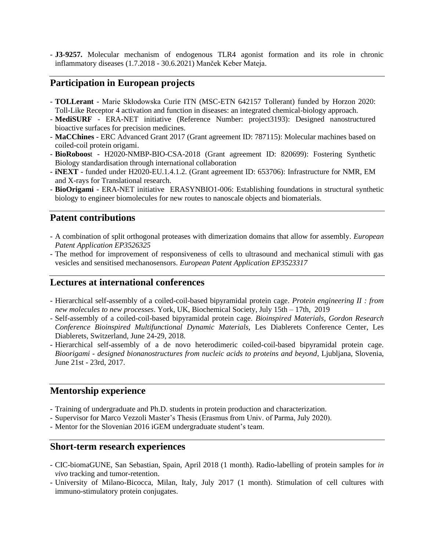- **J3-9257.** Molecular mechanism of endogenous TLR4 agonist formation and its role in chronic inflammatory diseases (1.7.2018 - 30.6.2021) Manček Keber Mateja.

## **Participation in European projects**

- **TOLLerant**  Marie Skłodowska Curie ITN (MSC-ETN 642157 Tollerant) funded by Horzon 2020: Toll-Like Receptor 4 activation and function in diseases: an integrated chemical-biology approach.
- **MediSURF** ERA-NET initiative (Reference Number: project3193): Designed nanostructured bioactive surfaces for precision medicines.
- **MaCChines** ERC Advanced Grant 2017 (Grant agreement ID: 787115): Molecular machines based on coiled-coil protein origami.
- **BioRoboos**t H2020-NMBP-BIO-CSA-2018 (Grant agreement ID: 820699): Fostering Synthetic Biology standardisation through international collaboration
- **iNEXT**  funded under H2020-EU.1.4.1.2. (Grant agreement ID: 653706): Infrastructure for NMR, EM and X-rays for Translational research.
- **BioOrigami** ERA-NET initiative ERASYNBIO1-006: Establishing foundations in structural synthetic biology to engineer biomolecules for new routes to nanoscale objects and biomaterials.

#### **Patent contributions**

- A combination of split orthogonal proteases with dimerization domains that allow for assembly. *European Patent Application EP3526325*
- The method for improvement of responsiveness of cells to ultrasound and mechanical stimuli with gas vesicles and sensitised mechanosensors. *European Patent Application EP3523317*

#### **Lectures at international conferences**

- Hierarchical self-assembly of a coiled-coil-based bipyramidal protein cage. *Protein engineering II : from new molecules to new processes*. York, UK, Biochemical Society, July 15th – 17th, 2019
- Self-assembly of a coiled-coil-based bipyramidal protein cage. *Bioinspired Materials, Gordon Research Conference Bioinspired Multifunctional Dynamic Materials,* Les Diablerets Conference Center, Les Diablerets, Switzerland, June 24-29, 2018.
- Hierarchical self-assembly of a de novo heterodimeric coiled-coil-based bipyramidal protein cage. *Bioorigami - designed bionanostructures from nucleic acids to proteins and beyond*, Ljubljana, Slovenia, June 21st - 23rd, 2017.

## **Mentorship experience**

- Training of undergraduate and Ph.D. students in protein production and characterization.
- Supervisor for Marco Vezzoli Master's Thesis (Erasmus from Univ. of Parma, July 2020).
- Mentor for the Slovenian 2016 iGEM undergraduate student's team.

#### **Short-term research experiences**

- CIC-biomaGUNE, San Sebastian, Spain, April 2018 (1 month). Radio-labelling of protein samples for *in vivo* tracking and tumor-retention.
- University of Milano-Bicocca, Milan, Italy, July 2017 (1 month). Stimulation of cell cultures with immuno-stimulatory protein conjugates.